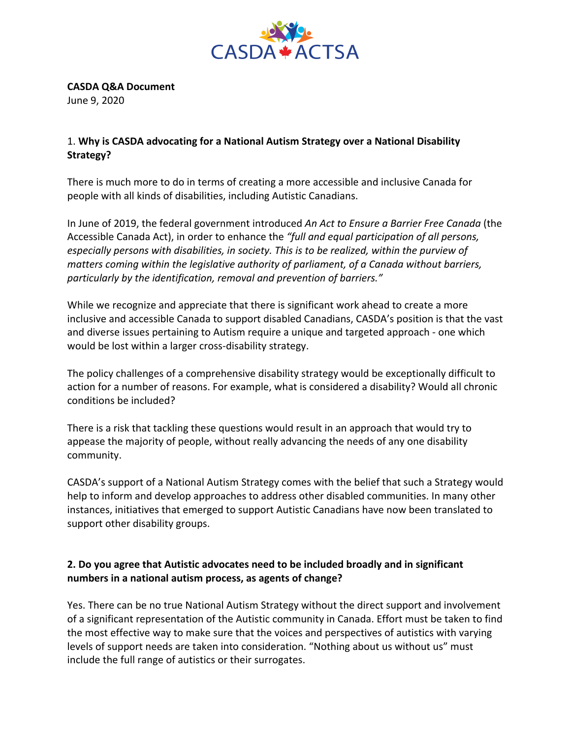

**CASDA Q&A Document**

June 9, 2020

## 1. **Why is CASDA advocating for a National Autism Strategy over a National Disability Strategy?**

There is much more to do in terms of creating a more accessible and inclusive Canada for people with all kinds of disabilities, including Autistic Canadians.

In June of 2019, the federal government introduced *An Act to Ensure a Barrier Free Canada* (the Accessible Canada Act), in order to enhance the *"full and equal participation of all persons, especially persons with disabilities, in society. This is to be realized, within the purview of matters coming within the legislative authority of parliament, of a Canada without barriers, particularly by the identification, removal and prevention of barriers."*

While we recognize and appreciate that there is significant work ahead to create a more inclusive and accessible Canada to support disabled Canadians, CASDA's position is that the vast and diverse issues pertaining to Autism require a unique and targeted approach - one which would be lost within a larger cross-disability strategy.

The policy challenges of a comprehensive disability strategy would be exceptionally difficult to action for a number of reasons. For example, what is considered a disability? Would all chronic conditions be included?

There is a risk that tackling these questions would result in an approach that would try to appease the majority of people, without really advancing the needs of any one disability community.

CASDA's support of a National Autism Strategy comes with the belief that such a Strategy would help to inform and develop approaches to address other disabled communities. In many other instances, initiatives that emerged to support Autistic Canadians have now been translated to support other disability groups.

## **2. Do you agree that Autistic advocates need to be included broadly and in significant numbers in a national autism process, as agents of change?**

Yes. There can be no true National Autism Strategy without the direct support and involvement of a significant representation of the Autistic community in Canada. Effort must be taken to find the most effective way to make sure that the voices and perspectives of autistics with varying levels of support needs are taken into consideration. "Nothing about us without us" must include the full range of autistics or their surrogates.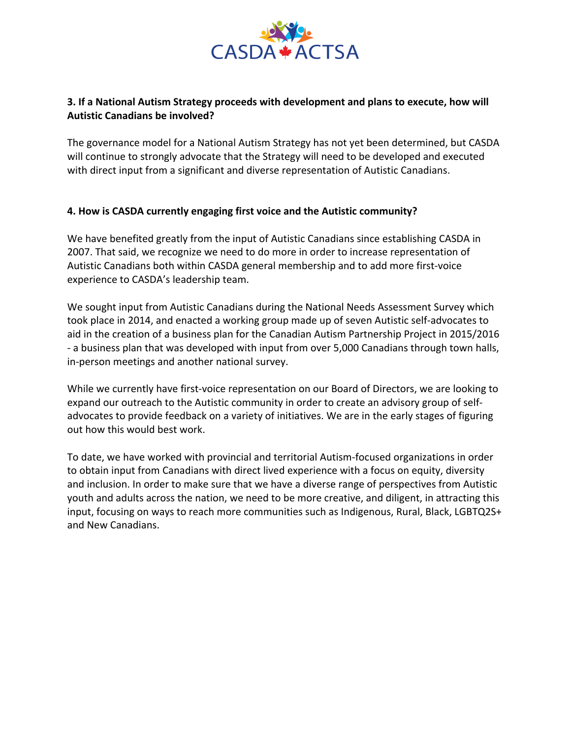

## **3. If a National Autism Strategy proceeds with development and plans to execute, how will Autistic Canadians be involved?**

The governance model for a National Autism Strategy has not yet been determined, but CASDA will continue to strongly advocate that the Strategy will need to be developed and executed with direct input from a significant and diverse representation of Autistic Canadians.

### **4. How is CASDA currently engaging first voice and the Autistic community?**

We have benefited greatly from the input of Autistic Canadians since establishing CASDA in 2007. That said, we recognize we need to do more in order to increase representation of Autistic Canadians both within CASDA general membership and to add more first-voice experience to CASDA's leadership team.

We sought input from Autistic Canadians during the National Needs Assessment Survey which took place in 2014, and enacted a working group made up of seven Autistic self-advocates to aid in the creation of a business plan for the Canadian Autism Partnership Project in 2015/2016 - a business plan that was developed with input from over 5,000 Canadians through town halls, in-person meetings and another national survey.

While we currently have first-voice representation on our Board of Directors, we are looking to expand our outreach to the Autistic community in order to create an advisory group of selfadvocates to provide feedback on a variety of initiatives. We are in the early stages of figuring out how this would best work.

To date, we have worked with provincial and territorial Autism-focused organizations in order to obtain input from Canadians with direct lived experience with a focus on equity, diversity and inclusion. In order to make sure that we have a diverse range of perspectives from Autistic youth and adults across the nation, we need to be more creative, and diligent, in attracting this input, focusing on ways to reach more communities such as Indigenous, Rural, Black, LGBTQ2S+ and New Canadians.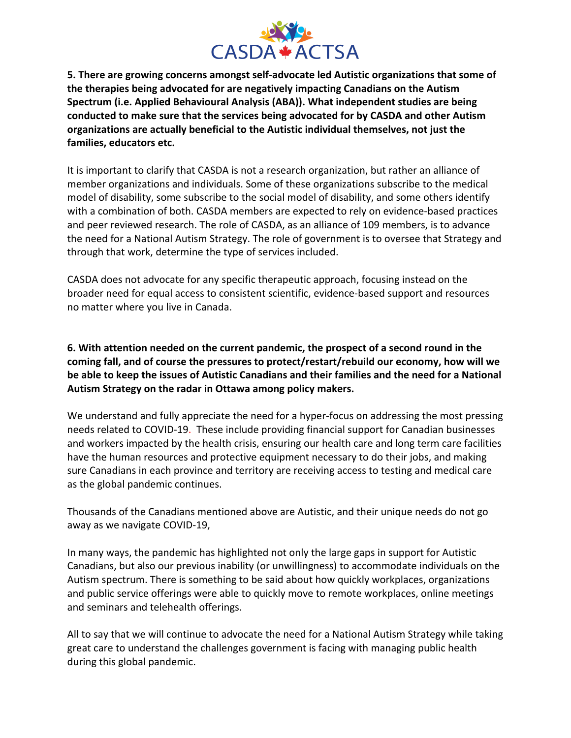

**5. There are growing concerns amongst self-advocate led Autistic organizations that some of the therapies being advocated for are negatively impacting Canadians on the Autism Spectrum (i.e. Applied Behavioural Analysis (ABA)). What independent studies are being conducted to make sure that the services being advocated for by CASDA and other Autism organizations are actually beneficial to the Autistic individual themselves, not just the families, educators etc.**

It is important to clarify that CASDA is not a research organization, but rather an alliance of member organizations and individuals. Some of these organizations subscribe to the medical model of disability, some subscribe to the social model of disability, and some others identify with a combination of both. CASDA members are expected to rely on evidence-based practices and peer reviewed research. The role of CASDA, as an alliance of 109 members, is to advance the need for a National Autism Strategy. The role of government is to oversee that Strategy and through that work, determine the type of services included.

CASDA does not advocate for any specific therapeutic approach, focusing instead on the broader need for equal access to consistent scientific, evidence-based support and resources no matter where you live in Canada.

**6. With attention needed on the current pandemic, the prospect of a second round in the coming fall, and of course the pressures to protect/restart/rebuild our economy, how will we be able to keep the issues of Autistic Canadians and their families and the need for a National Autism Strategy on the radar in Ottawa among policy makers.**

We understand and fully appreciate the need for a hyper-focus on addressing the most pressing needs related to COVID-19. These include providing financial support for Canadian businesses and workers impacted by the health crisis, ensuring our health care and long term care facilities have the human resources and protective equipment necessary to do their jobs, and making sure Canadians in each province and territory are receiving access to testing and medical care as the global pandemic continues.

Thousands of the Canadians mentioned above are Autistic, and their unique needs do not go away as we navigate COVID-19,

In many ways, the pandemic has highlighted not only the large gaps in support for Autistic Canadians, but also our previous inability (or unwillingness) to accommodate individuals on the Autism spectrum. There is something to be said about how quickly workplaces, organizations and public service offerings were able to quickly move to remote workplaces, online meetings and seminars and telehealth offerings.

All to say that we will continue to advocate the need for a National Autism Strategy while taking great care to understand the challenges government is facing with managing public health during this global pandemic.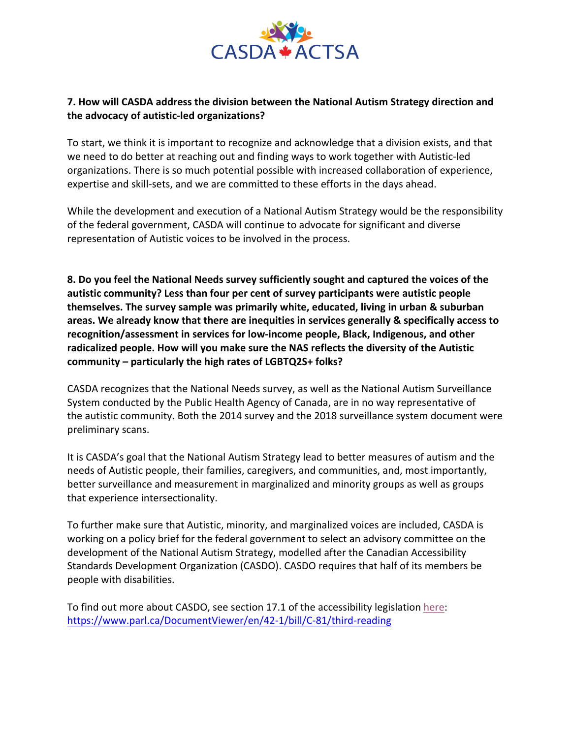

## **7. How will CASDA address the division between the National Autism Strategy direction and the advocacy of autistic-led organizations?**

To start, we think it is important to recognize and acknowledge that a division exists, and that we need to do better at reaching out and finding ways to work together with Autistic-led organizations. There is so much potential possible with increased collaboration of experience, expertise and skill-sets, and we are committed to these efforts in the days ahead.

While the development and execution of a National Autism Strategy would be the responsibility of the federal government, CASDA will continue to advocate for significant and diverse representation of Autistic voices to be involved in the process.

**8. Do you feel the National Needs survey sufficiently sought and captured the voices of the autistic community? Less than four per cent of survey participants were autistic people themselves. The survey sample was primarily white, educated, living in urban & suburban areas. We already know that there are inequities in services generally & specifically access to recognition/assessment in services for low-income people, Black, Indigenous, and other radicalized people. How will you make sure the NAS reflects the diversity of the Autistic community – particularly the high rates of LGBTQ2S+ folks?**

CASDA recognizes that the National Needs survey, as well as the National Autism Surveillance System conducted by the Public Health Agency of Canada, are in no way representative of the autistic community. Both the 2014 survey and the 2018 surveillance system document were preliminary scans.

It is CASDA's goal that the National Autism Strategy lead to better measures of autism and the needs of Autistic people, their families, caregivers, and communities, and, most importantly, better surveillance and measurement in marginalized and minority groups as well as groups that experience intersectionality.

To further make sure that Autistic, minority, and marginalized voices are included, CASDA is working on a policy brief for the federal government to select an advisory committee on the development of the National Autism Strategy, modelled after the Canadian Accessibility Standards Development Organization (CASDO). CASDO requires that half of its members be people with disabilities.

To find out more about CASDO, see section 17.1 of the accessibility legislation here: https://www.parl.ca/DocumentViewer/en/42-1/bill/C-81/third-reading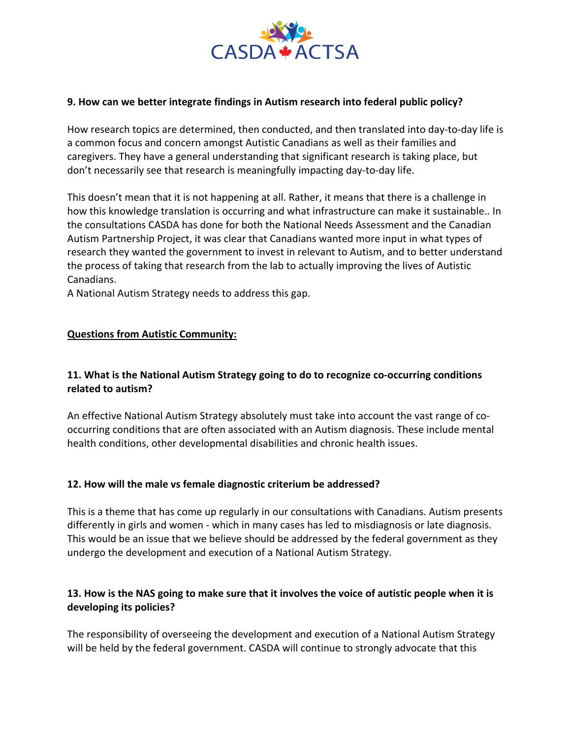

### **9. How can we better integrate findings in Autism research into federal public policy?**

How research topics are determined, then conducted, and then translated into day-to-day life is a common focus and concern amongst Autistic Canadians as well as their families and caregivers. They have a general understanding that significant research is taking place, but don't necessarily see that research is meaningfully impacting day-to-day life.

This doesn't mean that it is not happening at all. Rather, it means that there is a challenge in how this knowledge translation is occurring and what infrastructure can make it sustainable.. In the consultations CASDA has done for both the National Needs Assessment and the Canadian Autism Partnership Project, it was clear that Canadians wanted more input in what types of research they wanted the government to invest in relevant to Autism, and to better understand the process of taking that research from the lab to actually improving the lives of Autistic Canadians.

A National Autism Strategy needs to address this gap.

#### **Questions from Autistic Community:**

### **11. What is the National Autism Strategy going to do to recognize co-occurring conditions related to autism?**

An effective National Autism Strategy absolutely must take into account the vast range of cooccurring conditions that are often associated with an Autism diagnosis. These include mental health conditions, other developmental disabilities and chronic health issues.

### **12. How will the male vs female diagnostic criterium be addressed?**

This is a theme that has come up regularly in our consultations with Canadians. Autism presents differently in girls and women - which in many cases has led to misdiagnosis or late diagnosis. This would be an issue that we believe should be addressed by the federal government as they undergo the development and execution of a National Autism Strategy.

## **13. How is the NAS going to make sure that it involves the voice of autistic people when it is developing its policies?**

The responsibility of overseeing the development and execution of a National Autism Strategy will be held by the federal government. CASDA will continue to strongly advocate that this